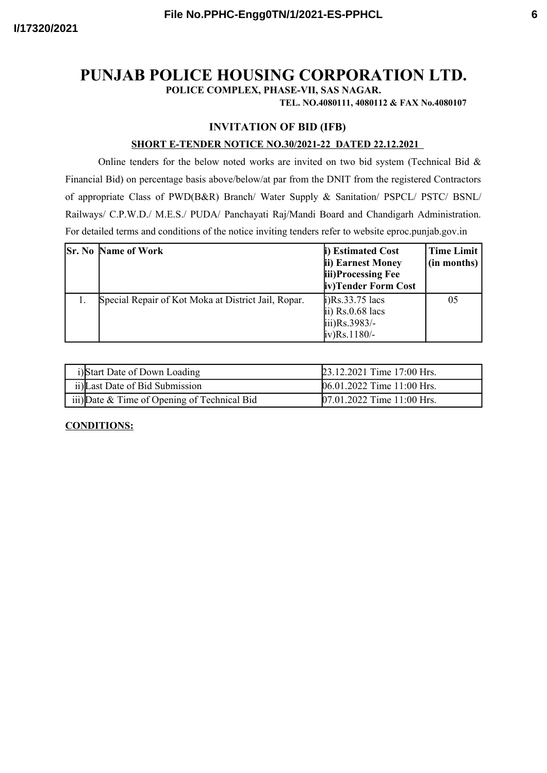# **PUNJAB POLICE HOUSING CORPORATION LTD.**

**POLICE COMPLEX, PHASE-VII, SAS NAGAR.**

**TEL. NO.4080111, 4080112 & FAX No.4080107**

# **INVITATION OF BID (IFB)**

#### **SHORT E-TENDER NOTICE NO.30/2021-22 DATED 22.12.2021**

Online tenders for the below noted works are invited on two bid system (Technical Bid  $\&$ Financial Bid) on percentage basis above/below/at par from the DNIT from the registered Contractors of appropriate Class of PWD(B&R) Branch/ Water Supply & Sanitation/ PSPCL/ PSTC/ BSNL/ Railways/ C.P.W.D./ M.E.S./ PUDA/ Panchayati Raj/Mandi Board and Chandigarh Administration. For detailed terms and conditions of the notice inviting tenders refer to website eproc.punjab.gov.in

| <b>Sr. No Name of Work</b>                          | i) Estimated Cost<br>ii) Earnest Money<br>iii)Processing Fee<br>iv)Tender Form Cost                          | <b>Time Limit</b><br>(in months) |
|-----------------------------------------------------|--------------------------------------------------------------------------------------------------------------|----------------------------------|
| Special Repair of Kot Moka at District Jail, Ropar. | $\mu$ )Rs.33.75 lacs<br>$\overline{p}$ ii) Rs.0.68 lacs<br>$\text{iii)}\text{Rs}.3983/-$<br>$iv)$ Rs. 1180/- | 05                               |

| i)Start Date of Down Loading                 | 23.12.2021 Time 17:00 Hrs. |
|----------------------------------------------|----------------------------|
| ii) Last Date of Bid Submission              | 06.01.2022 Time 11:00 Hrs. |
| iii) Date & Time of Opening of Technical Bid | 07.01.2022 Time 11:00 Hrs. |

## **CONDITIONS:**